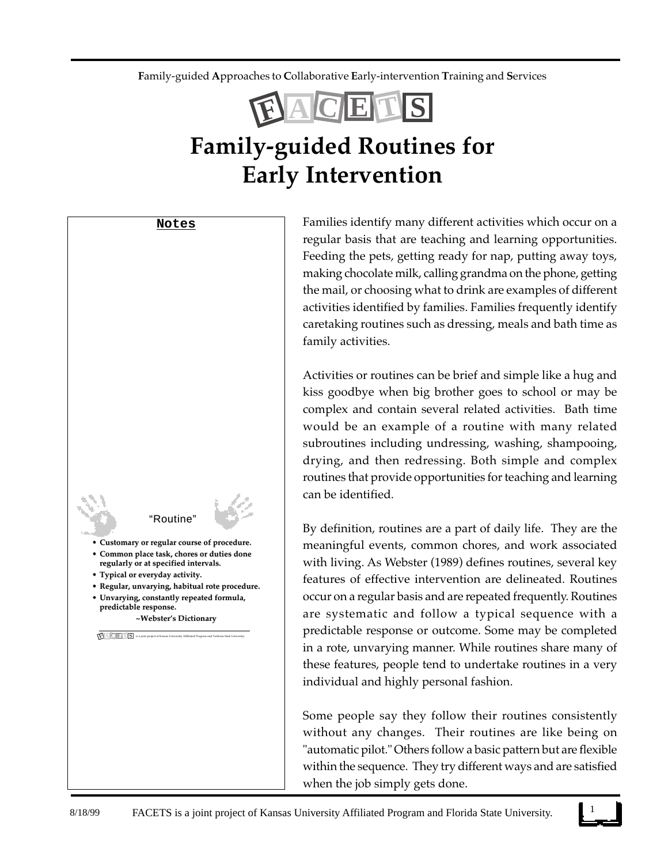**F**amily-guided **A**pproaches to **C**ollaborative **E**arly-intervention **T**raining and **S**ervices



## **Family-guided Routines for Early Intervention**

**Notes**



Families identify many different activities which occur on a regular basis that are teaching and learning opportunities. Feeding the pets, getting ready for nap, putting away toys, making chocolate milk, calling grandma on the phone, getting the mail, or choosing what to drink are examples of different activities identified by families. Families frequently identify caretaking routines such as dressing, meals and bath time as family activities.

Activities or routines can be brief and simple like a hug and kiss goodbye when big brother goes to school or may be complex and contain several related activities. Bath time would be an example of a routine with many related subroutines including undressing, washing, shampooing, drying, and then redressing. Both simple and complex routines that provide opportunities for teaching and learning can be identified.

By definition, routines are a part of daily life. They are the meaningful events, common chores, and work associated with living. As Webster (1989) defines routines, several key features of effective intervention are delineated. Routines occur on a regular basis and are repeated frequently. Routines are systematic and follow a typical sequence with a predictable response or outcome. Some may be completed in a rote, unvarying manner. While routines share many of these features, people tend to undertake routines in a very individual and highly personal fashion.

Some people say they follow their routines consistently without any changes. Their routines are like being on "automatic pilot." Others follow a basic pattern but are flexible within the sequence. They try different ways and are satisfied when the job simply gets done.

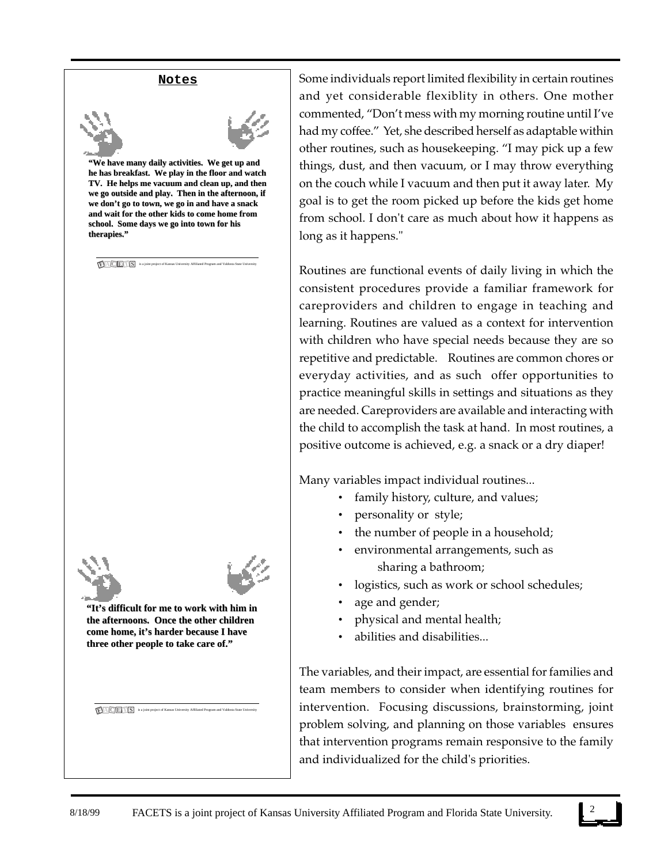#### **Notes**





**"We have many daily activities. We get up and "We have many daily activities. We get up and**  he has breakfast. We play in the floor and watch **TV. He helps me vacuum and clean up, and then TV. He helps me vacuum and clean up, and then**  we go outside and play. Then in the afternoon, if we don't go to town, we go in and have a snack **and wait for the other kids to come home from and wait for the other kids to come home from**  school. Some days we go into town for his **therapies."**

 $\textbf{F}$  **A C E T S** is a joint project of Kansas University Affiliated Program and Valdosta State University



**"It's difficult for me to work with him in "It's to work him in the afternoons. Once the other children the afternoons. Once the other children**  come home, it's harder because I have **three other people to take care of."**

**F A C E T S** is a joint project of Kansas University Affiliated Program and Valdosta State University

Some individuals report limited flexibility in certain routines and yet considerable flexiblity in others. One mother commented, "Don't mess with my morning routine until I've had my coffee." Yet, she described herself as adaptable within other routines, such as housekeeping. "I may pick up a few things, dust, and then vacuum, or I may throw everything on the couch while I vacuum and then put it away later. My goal is to get the room picked up before the kids get home from school. I don't care as much about how it happens as long as it happens."

Routines are functional events of daily living in which the consistent procedures provide a familiar framework for careproviders and children to engage in teaching and learning. Routines are valued as a context for intervention with children who have special needs because they are so repetitive and predictable. Routines are common chores or everyday activities, and as such offer opportunities to practice meaningful skills in settings and situations as they are needed. Careproviders are available and interacting with the child to accomplish the task at hand. In most routines, a positive outcome is achieved, e.g. a snack or a dry diaper!

Many variables impact individual routines...

- family history, culture, and values;
- personality or style;
- the number of people in a household;
- environmental arrangements, such as sharing a bathroom;
- logistics, such as work or school schedules;
- age and gender;
- physical and mental health;
- abilities and disabilities...

The variables, and their impact, are essential for families and team members to consider when identifying routines for intervention. Focusing discussions, brainstorming, joint problem solving, and planning on those variables ensures that intervention programs remain responsive to the family and individualized for the child's priorities.

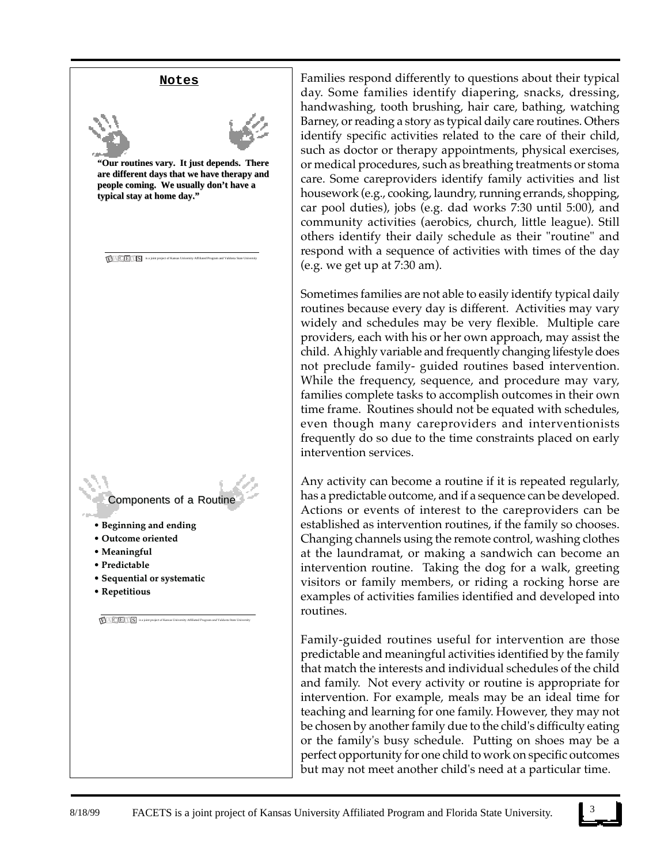# **Notes**



**"Our routines vary. It just depends. There "Our routines vary. It just are different days that we have therapy and are different days that we have therapy and people coming. We usually don't have a people coming. We usually don't have a typical stay at home day."**

 $\textbf{F}$  **A C E T S** is a joint project of Kansas University Affiliated Program and Valdosta State University

Components of a Routine

- **Beginning and ending**
- **Outcome oriented**
- **Meaningful**
- **Predictable**
- **Sequential or systematic**
- **Repetitious**

**F A C E T S** is a joint project of Kansas University Affiliated Program and Valdosta State University

Families respond differently to questions about their typical day. Some families identify diapering, snacks, dressing, handwashing, tooth brushing, hair care, bathing, watching Barney, or reading a story as typical daily care routines. Others identify specific activities related to the care of their child, such as doctor or therapy appointments, physical exercises, or medical procedures, such as breathing treatments or stoma care. Some careproviders identify family activities and list housework (e.g., cooking, laundry, running errands, shopping, car pool duties), jobs (e.g. dad works 7:30 until 5:00), and community activities (aerobics, church, little league). Still others identify their daily schedule as their "routine" and respond with a sequence of activities with times of the day (e.g. we get up at 7:30 am).

Sometimes families are not able to easily identify typical daily routines because every day is different. Activities may vary widely and schedules may be very flexible. Multiple care providers, each with his or her own approach, may assist the child. A highly variable and frequently changing lifestyle does not preclude family- guided routines based intervention. While the frequency, sequence, and procedure may vary, families complete tasks to accomplish outcomes in their own time frame. Routines should not be equated with schedules, even though many careproviders and interventionists frequently do so due to the time constraints placed on early intervention services.

Any activity can become a routine if it is repeated regularly, has a predictable outcome, and if a sequence can be developed. Actions or events of interest to the careproviders can be established as intervention routines, if the family so chooses. Changing channels using the remote control, washing clothes at the laundramat, or making a sandwich can become an intervention routine. Taking the dog for a walk, greeting visitors or family members, or riding a rocking horse are examples of activities families identified and developed into routines.

Family-guided routines useful for intervention are those predictable and meaningful activities identified by the family that match the interests and individual schedules of the child and family. Not every activity or routine is appropriate for intervention. For example, meals may be an ideal time for teaching and learning for one family. However, they may not be chosen by another family due to the child's difficulty eating or the family's busy schedule. Putting on shoes may be a perfect opportunity for one child to work on specific outcomes but may not meet another child's need at a particular time.